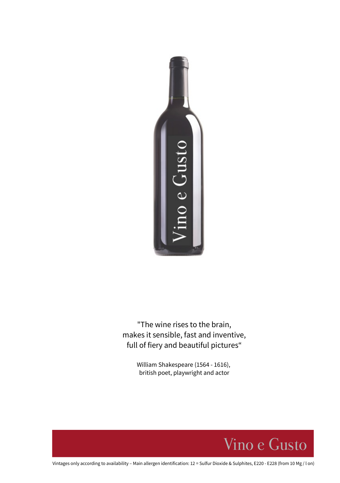

"The wine rises to the brain, makes it sensible, fast and inventive, full of fiery and beautiful pictures"

> William Shakespeare (1564 - 1616), british poet, playwright and actor



Vintages only according to availability – Main allergen identification: 12 = Sulfur Dioxide & Sulphites, E220 - E228 (from 10 Mg / l on)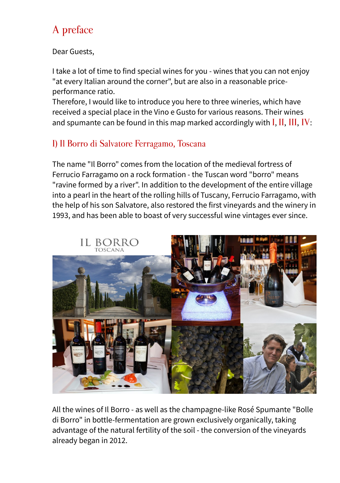# A preface

Dear Guests,

I take a lot of time to find special wines for you - wines that you can not enjoy "at every Italian around the corner", but are also in a reasonable priceperformance ratio.

Therefore, I would like to introduce you here to three wineries, which have received a special place in the Vino e Gusto for various reasons. Their wines and spumante can be found in this map marked accordingly with  $I, II, III, IV$ :

# I) Il Borro di Salvatore Ferragamo, Toscana

The name "Il Borro" comes from the location of the medieval fortress of Ferrucio Farragamo on a rock formation - the Tuscan word "borro" means "ravine formed by a river". In addition to the development of the entire village into a pearl in the heart of the rolling hills of Tuscany, Ferrucio Farragamo, with the help of his son Salvatore, also restored the first vineyards and the winery in 1993, and has been able to boast of very successful wine vintages ever since.



All the wines of Il Borro - as well as the champagne-like Rosé Spumante "Bolle di Borro" in bottle-fermentation are grown exclusively organically, taking advantage of the natural fertility of the soil - the conversion of the vineyards already began in 2012.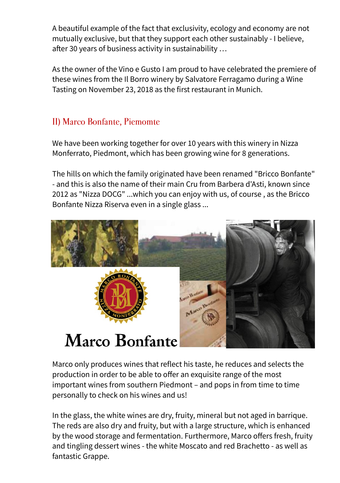A beautiful example of the fact that exclusivity, ecology and economy are not mutually exclusive, but that they support each other sustainably - I believe, after 30 years of business activity in sustainability …

As the owner of the Vino e Gusto I am proud to have celebrated the premiere of these wines from the Il Borro winery by Salvatore Ferragamo during a Wine Tasting on November 23, 2018 as the first restaurant in Munich.

# II) Marco Bonfante, Piemomte

We have been working together for over 10 years with this winery in Nizza Monferrato, Piedmont, which has been growing wine for 8 generations.

The hills on which the family originated have been renamed "Bricco Bonfante" - and this is also the name of their main Cru from Barbera d'Asti, known since 2012 as "Nizza DOCG" ...which you can enjoy with us, of course , as the Bricco Bonfante Nizza Riserva even in a single glass ...



Marco only produces wines that reflect his taste, he reduces and selects the production in order to be able to offer an exquisite range of the most important wines from southern Piedmont – and pops in from time to time personally to check on his wines and us!

In the glass, the white wines are dry, fruity, mineral but not aged in barrique. The reds are also dry and fruity, but with a large structure, which is enhanced by the wood storage and fermentation. Furthermore, Marco offers fresh, fruity and tingling dessert wines - the white Moscato and red Brachetto - as well as fantastic Grappe.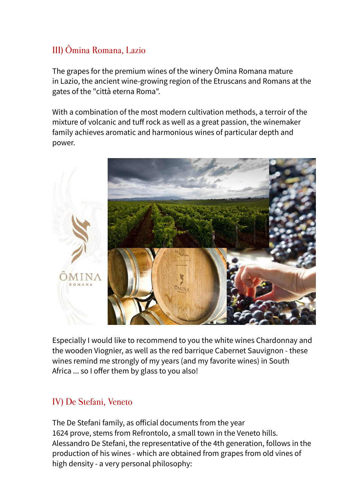# III) Ômina Romana, Lazio

The grapes for the premium wines of the winery Ômina Romana mature in Lazio, the ancient wine-growing region of the Etruscans and Romans at the gates of the "città eterna Roma".

With a combination of the most modern cultivation methods, a terroir of the mixture of volcanic and tuff rock as well as a great passion, the winemaker family achieves aromatic and harmonious wines of particular depth and power.



Especially I would like to recommend to you the white wines Chardonnay and the wooden Viognier, as well as the red barrique Cabernet Sauvignon - these wines remind me strongly of my years (and my favorite wines) in South Africa ... so I offer them by glass to you also!

# IV) De Stefani, Veneto

The De Stefani family, as official documents from the year 1624 prove, stems from Refrontolo, a small town in the Veneto hills. Alessandro De Stefani, the representative of the 4th generation, follows in the production of his wines - which are obtained from grapes from old vines of high density - a very personal philosophy: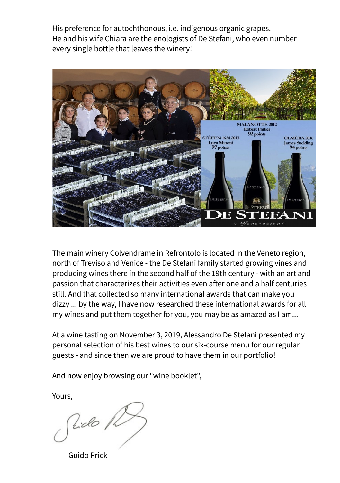His preference for autochthonous, i.e. indigenous organic grapes. He and his wife Chiara are the enologists of De Stefani, who even number every single bottle that leaves the winery!



The main winery Colvendrame in Refrontolo is located in the Veneto region, north of Treviso and Venice - the De Stefani family started growing vines and producing wines there in the second half of the 19th century - with an art and passion that characterizes their activities even after one and a half centuries still. And that collected so many international awards that can make you dizzy ... by the way, I have now researched these international awards for all my wines and put them together for you, you may be as amazed as I am...

At a wine tasting on November 3, 2019, Alessandro De Stefani presented my personal selection of his best wines to our six-course menu for our regular guests - and since then we are proud to have them in our portfolio!

And now enjoy browsing our "wine booklet",

Yours,

Rido /2

Guido Prick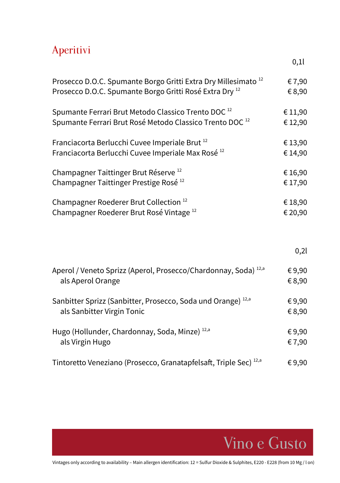# Aperitivi

|                                                                              | 0,1     |
|------------------------------------------------------------------------------|---------|
| Prosecco D.O.C. Spumante Borgo Gritti Extra Dry Millesimato <sup>12</sup>    | €7,90   |
| Prosecco D.O.C. Spumante Borgo Gritti Rosé Extra Dry <sup>12</sup>           | €8,90   |
| Spumante Ferrari Brut Metodo Classico Trento DOC <sup>12</sup>               | € 11,90 |
| Spumante Ferrari Brut Rosé Metodo Classico Trento DOC <sup>12</sup>          | €12,90  |
| Franciacorta Berlucchi Cuvee Imperiale Brut <sup>12</sup>                    | €13,90  |
| Franciacorta Berlucchi Cuvee Imperiale Max Rosé <sup>12</sup>                | €14,90  |
| Champagner Taittinger Brut Réserve <sup>12</sup>                             | €16,90  |
| Champagner Taittinger Prestige Rosé <sup>12</sup>                            | €17,90  |
| Champagner Roederer Brut Collection <sup>12</sup>                            | €18,90  |
| Champagner Roederer Brut Rosé Vintage <sup>12</sup>                          | € 20,90 |
|                                                                              | 0,21    |
| Aperol / Veneto Sprizz (Aperol, Prosecco/Chardonnay, Soda) <sup>12,a</sup>   | €9,90   |
| als Aperol Orange                                                            | €8,90   |
| Sanbitter Sprizz (Sanbitter, Prosecco, Soda und Orange) <sup>12,a</sup>      | €9,90   |
| als Sanbitter Virgin Tonic                                                   | €8,90   |
| Hugo (Hollunder, Chardonnay, Soda, Minze) <sup>12,a</sup>                    | €9,90   |
| als Virgin Hugo                                                              | €7,90   |
| Tintoretto Veneziano (Prosecco, Granatapfelsaft, Triple Sec) <sup>12,a</sup> | €9,90   |

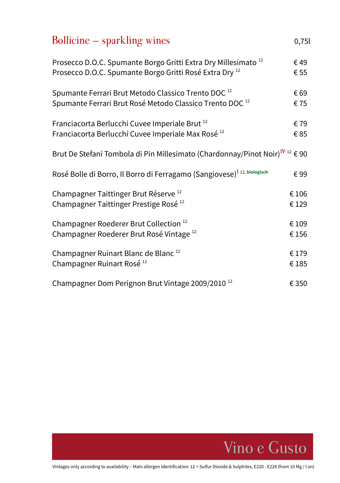| Bollicine – sparkling wines                                                                         | 0,75  |
|-----------------------------------------------------------------------------------------------------|-------|
| Prosecco D.O.C. Spumante Borgo Gritti Extra Dry Millesimato <sup>12</sup>                           | €49   |
| Prosecco D.O.C. Spumante Borgo Gritti Rosé Extra Dry <sup>12</sup>                                  | € 55  |
| Spumante Ferrari Brut Metodo Classico Trento DOC <sup>12</sup>                                      | € 69  |
| Spumante Ferrari Brut Rosé Metodo Classico Trento DOC <sup>12</sup>                                 | €75   |
| Franciacorta Berlucchi Cuvee Imperiale Brut <sup>12</sup>                                           | €79   |
| Franciacorta Berlucchi Cuvee Imperiale Max Rosé <sup>12</sup>                                       | €85   |
| Brut De Stefani Tombola di Pin Millesimato (Chardonnay/Pinot Noir) <sup>IV</sup> <sup>12</sup> € 90 |       |
| Rosé Bolle di Borro, Il Borro di Ferragamo (Sangiovese) <sup>I 12, biologisch</sup>                 | €99   |
| Champagner Taittinger Brut Réserve <sup>12</sup>                                                    | €106  |
| Champagner Taittinger Prestige Rosé <sup>12</sup>                                                   | €129  |
| Champagner Roederer Brut Collection <sup>12</sup>                                                   | €109  |
| Champagner Roederer Brut Rosé Vintage <sup>12</sup>                                                 | €156  |
| Champagner Ruinart Blanc de Blanc <sup>12</sup>                                                     | €179  |
| Champagner Ruinart Rosé <sup>12</sup>                                                               | €185  |
| Champagner Dom Perignon Brut Vintage 2009/2010 <sup>12</sup>                                        | € 350 |

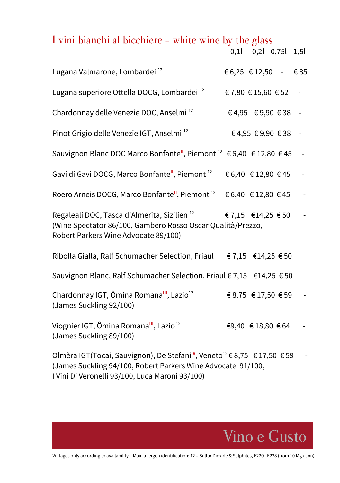# I vini bianchi al bicchiere - white wine by the glass

|                                                                                                                                                                |                    | 0,1 0,2 0,75 1,5   |        |
|----------------------------------------------------------------------------------------------------------------------------------------------------------------|--------------------|--------------------|--------|
| Lugana Valmarone, Lombardei <sup>12</sup>                                                                                                                      | €6,25 €12,50 - €85 |                    |        |
| Lugana superiore Ottella DOCG, Lombardei <sup>12</sup>                                                                                                         | €7,80 €15,60 €52   |                    | $\sim$ |
| Chardonnay delle Venezie DOC, Anselmi <sup>12</sup>                                                                                                            |                    | €4,95 €9,90 €38 -  |        |
| Pinot Grigio delle Venezie IGT, Anselmi <sup>12</sup>                                                                                                          |                    | €4,95 €9,90 €38 -  |        |
| Sauvignon Blanc DOC Marco Bonfante", Piemont <sup>12</sup> € 6,40 € 12,80 € 45 -                                                                               |                    |                    |        |
| Gavi di Gavi DOCG, Marco Bonfante", Piemont <sup>12</sup> € 6,40 € 12,80 € 45 -                                                                                |                    |                    |        |
| Roero Arneis DOCG, Marco Bonfante", Piemont <sup>12</sup> € 6,40 € 12,80 € 45 -                                                                                |                    |                    |        |
| Regaleali DOC, Tasca d'Almerita, Sizilien <sup>12</sup><br>(Wine Spectator 86/100, Gambero Rosso Oscar Qualità/Prezzo,<br>Robert Parkers Wine Advocate 89/100) | €7,15 €14,25 €50 - |                    |        |
| Ribolla Gialla, Ralf Schumacher Selection, Friaul €7,15 €14,25 €50                                                                                             |                    |                    |        |
| Sauvignon Blanc, Ralf Schumacher Selection, Friaul € 7,15 €14,25 € 50                                                                                          |                    |                    |        |
| Chardonnay IGT, Ômina Romana <sup>III</sup> , Lazio <sup>12</sup><br>(James Suckling 92/100)                                                                   |                    | €8,75 €17,50 €59 - |        |
| Viognier IGT, Ômina Romana <sup>III</sup> , Lazio <sup>12</sup><br>(James Suckling 89/100)                                                                     |                    | €9,40 € 18,80 € 64 |        |
| Olmèra IGT(Tocai, Sauvignon), De Stefani <sup>N</sup> Veneto <sup>12</sup> € 8.75, € 17.50, € 59                                                               |                    |                    |        |

Olmèra IGT(Tocai, Sauvignon), De Stefani**IV**, Veneto<sup>12</sup>€ 8,75 € 17,50 € 59 - (James Suckling 94/100, Robert Parkers Wine Advocate 91/100, I Vini Di Veronelli 93/100, Luca Maroni 93/100)

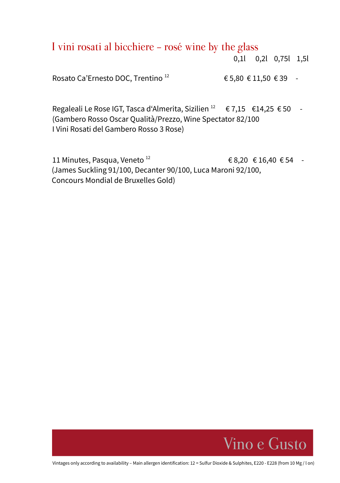I vini rosati al bicchiere - rosé wine by the glass

0,1l 0,2l 0,75l 1,5l

Rosato Ca'Ernesto DOC, Trentino<sup>12</sup>  $\epsilon$  5,80  $\epsilon$  11,50  $\epsilon$  39 -

Regaleali Le Rose IGT, Tasca d'Almerita, Sizilien<sup>12</sup> € 7,15 €14,25 € 50 -(Gambero Rosso Oscar Qualità/Prezzo, Wine Spectator 82/100 I Vini Rosati del Gambero Rosso 3 Rose)

11 Minutes, Pasqua, Veneto<sup>12</sup> 68,20 € 16,40 € 54 -(James Suckling 91/100, Decanter 90/100, Luca Maroni 92/100, Concours Mondial de Bruxelles Gold)

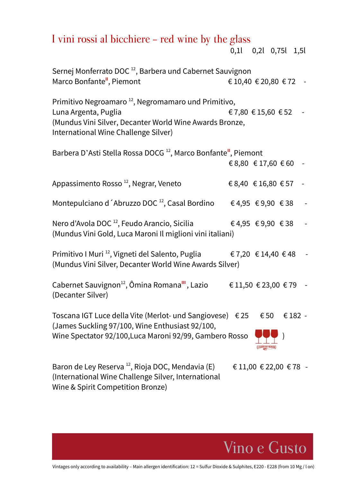# I vini rossi al bicchiere - red wine by the glass

0,1l 0,2l 0,75l 1,5l

| Sernej Monferrato DOC <sup>12</sup> , Barbera und Cabernet Sauvignon<br>Marco Bonfante", Piemont                                                                                           | € 10,40 € 20,80 € 72 |            |  |
|--------------------------------------------------------------------------------------------------------------------------------------------------------------------------------------------|----------------------|------------|--|
| Primitivo Negroamaro <sup>12</sup> , Negromamaro und Primitivo,<br>Luna Argenta, Puglia<br>(Mundus Vini Silver, Decanter World Wine Awards Bronze,<br>International Wine Challenge Silver) | €7,80 €15,60 €52     |            |  |
| Barbera D'Asti Stella Rossa DOCG <sup>12</sup> , Marco Bonfante <sup>ii</sup> , Piemont                                                                                                    |                      |            |  |
|                                                                                                                                                                                            | € 8,80 € 17,60 € 60  |            |  |
| Appassimento Rosso <sup>12</sup> , Negrar, Veneto                                                                                                                                          | €8,40 €16,80 €57     |            |  |
|                                                                                                                                                                                            |                      |            |  |
| Nero d'Avola DOC <sup>12</sup> , Feudo Arancio, Sicilia                     € 4,95   € 9,90   € 38<br>(Mundus Vini Gold, Luca Maroni Il miglioni vini italiani)                            |                      |            |  |
| Primitivo I Muri <sup>12</sup> , Vigneti del Salento, Puglia<br>(Mundus Vini Silver, Decanter World Wine Awards Silver)                                                                    | €7,20 €14,40 €48 -   |            |  |
| Cabernet Sauvignon <sup>12</sup> , Ômina Romana <sup>III</sup> , Lazio<br>(Decanter Silver)                                                                                                | €11,50 €23,00 €79 -  |            |  |
| Toscana IGT Luce della Vite (Merlot- und Sangiovese) €25<br>(James Suckling 97/100, Wine Enthusiast 92/100,<br>Wine Spectator 92/100, Luca Maroni 92/99, Gambero Rosso                     |                      | €50 €182 - |  |
| Baron de Ley Reserva <sup>12</sup> , Rioja DOC, Mendavia (E)<br>(International Wine Challenge Silver, International                                                                        | €11,00 €22,00 €78 -  |            |  |

Wine & Spirit Competition Bronze)

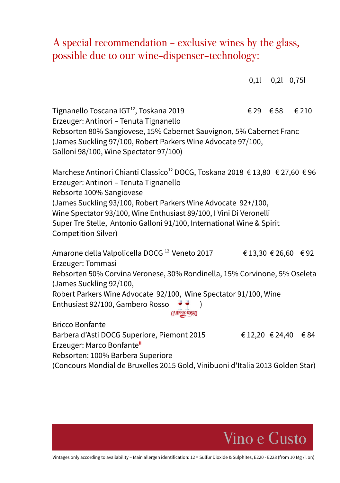# A special recommendation - exclusive wines by the glass, possible due to our wine-dispenser-technology:

|                                                                                                                                                                                                                                                                                                                                                                                                                                                 |                 | $0,1$ $0,2$ $0,75$ |                      |
|-------------------------------------------------------------------------------------------------------------------------------------------------------------------------------------------------------------------------------------------------------------------------------------------------------------------------------------------------------------------------------------------------------------------------------------------------|-----------------|--------------------|----------------------|
| Tignanello Toscana IGT <sup>12</sup> , Toskana 2019<br>Erzeuger: Antinori - Tenuta Tignanello<br>Rebsorten 80% Sangiovese, 15% Cabernet Sauvignon, 5% Cabernet Franc<br>(James Suckling 97/100, Robert Parkers Wine Advocate 97/100,                                                                                                                                                                                                            |                 | €29 €58            | € 210                |
| Galloni 98/100, Wine Spectator 97/100)<br>Marchese Antinori Chianti Classico <sup>12</sup> DOCG, Toskana 2018 € 13,80 € 27,60 € 96<br>Erzeuger: Antinori - Tenuta Tignanello<br>Rebsorte 100% Sangiovese<br>(James Suckling 93/100, Robert Parkers Wine Advocate 92+/100,<br>Wine Spectator 93/100, Wine Enthusiast 89/100, I Vini Di Veronelli<br>Super Tre Stelle, Antonio Galloni 91/100, International Wine & Spirit<br>Competition Silver) |                 |                    |                      |
| Amarone della Valpolicella DOCG <sup>12</sup> Veneto 2017<br>Erzeuger: Tommasi                                                                                                                                                                                                                                                                                                                                                                  |                 |                    | € 13,30 € 26,60 € 92 |
| Rebsorten 50% Corvina Veronese, 30% Rondinella, 15% Corvinone, 5% Oseleta<br>(James Suckling 92/100,                                                                                                                                                                                                                                                                                                                                            |                 |                    |                      |
| Robert Parkers Wine Advocate 92/100, Wine Spectator 91/100, Wine<br>Enthusiast 92/100, Gambero Rosso<br>$\rightarrow$<br><b>GAMBERO ROSSO</b>                                                                                                                                                                                                                                                                                                   |                 |                    |                      |
| <b>Bricco Bonfante</b><br>Barbera d'Asti DOCG Superiore, Piemont 2015<br>Erzeuger: Marco Bonfante"<br>Rebsorten: 100% Barbera Superiore                                                                                                                                                                                                                                                                                                         | € 12,20 € 24,40 |                    | €84                  |
| (Concours Mondial de Bruxelles 2015 Gold, Vinibuoni d'Italia 2013 Golden Star)                                                                                                                                                                                                                                                                                                                                                                  |                 |                    |                      |

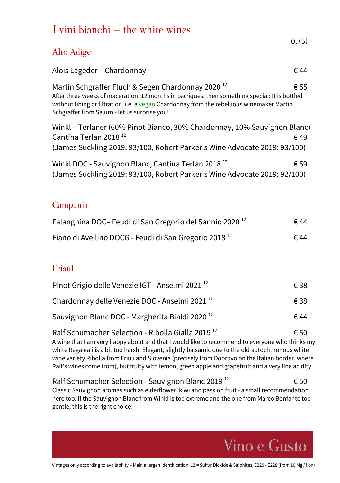|            | I vini bianchi – the white wines                                                                                                                                                                                                                                                                               |       |
|------------|----------------------------------------------------------------------------------------------------------------------------------------------------------------------------------------------------------------------------------------------------------------------------------------------------------------|-------|
| Alto Adige |                                                                                                                                                                                                                                                                                                                | 0,751 |
|            | Alois Lageder - Chardonnay                                                                                                                                                                                                                                                                                     | ∈ 44  |
|            | Martin Schgraffer Fluch & Segen Chardonnay 2020 <sup>12</sup><br>After three weeks of maceration, 12 months in barriques, then something special: It is bottled<br>without fining or filtration, i.e. a vegan Chardonnay from the rebellious winemaker Martin<br>Schgraffer from Salurn - let us surprise you! | € 55  |
|            | Winkl – Terlaner (60% Pinot Bianco, 30% Chardonnay, 10% Sauvignon Blanc)<br>Cantina Terlan 2018 <sup>12</sup><br>(James Suckling 2019: 93/100, Robert Parker's Wine Advocate 2019: 93/100)                                                                                                                     | €49   |
|            | Winkl DOC - Sauvignon Blanc, Cantina Terlan 2018 <sup>12</sup><br>(James Suckling 2019: 93/100, Robert Parker's Wine Advocate 2019: 92/100)                                                                                                                                                                    | € 59  |
| Campania   |                                                                                                                                                                                                                                                                                                                |       |
|            | Falanghina DOC-Feudi di San Gregorio del Sannio 2020 <sup>12</sup>                                                                                                                                                                                                                                             | ∈ 44  |
|            | Fiano di Avellino DOCG - Feudi di San Gregorio 2018 <sup>12</sup>                                                                                                                                                                                                                                              | € 44  |

## Friaul

| Pinot Grigio delle Venezie IGT - Anselmi 2021 <sup>12</sup> | € 38 |
|-------------------------------------------------------------|------|
| Chardonnay delle Venezie DOC - Anselmi 2021 <sup>12</sup>   | € 38 |
| Sauvignon Blanc DOC - Margherita Bialdi 2020 <sup>12</sup>  | € 44 |

Ralf Schumacher Selection - Ribolla Gialla 2019<sup>12</sup>  $6.50$ A wine that I am very happy about and that I would like to recommend to everyone who thinks my white Regaleali is a bit too harsh: Elegant, slightly balsamic due to the old autochthonous white wine variety Ribolla from Friuli and Slovenia (precisely from Dobrovo on the Italian border, where Ralf's wines come from), but fruity with lemon, green apple and grapefruit and a very fine acidity

Ralf Schumacher Selection - Sauvignon Blanc 2019<sup>12</sup>  $\epsilon$  50 Classic Sauvignon aromas such as elderflower, kiwi and passion fruit - a small recommendation here too: If the Sauvignon Blanc from Winkl is too extreme and the one from Marco Bonfante too gentle, this is the right choice!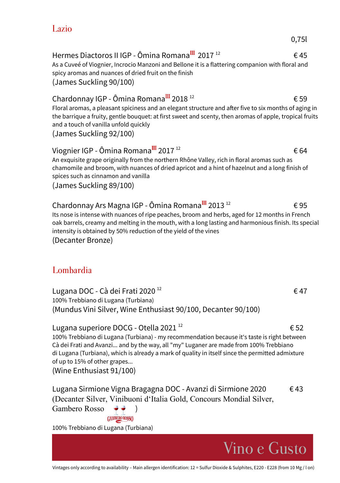### Lazio

0,75l

Hermes Diactoros II IGP - Ômina Romana $^{III}$  2017<sup>12</sup> 645 As a Cuveé of Viognier, Incrocio Manzoni and Bellone it is a flattering companion with floral and

Chardonnay IGP - Ômina Romana<sup>III</sup> 2018<sup>12</sup>  $\epsilon$  59

Floral aromas, a pleasant spiciness and an elegant structure and after five to six months of aging in the barrique a fruity, gentle bouquet: at first sweet and scenty, then aromas of apple, tropical fruits and a touch of vanilla unfold quickly

(James Suckling 92/100)

(James Suckling 90/100)

spicy aromas and nuances of dried fruit on the finish

#### Viognier IGP - Ômina Romana<sup>III</sup> 2017<sup>12</sup> 64 An exquisite grape originally from the northern Rhône Valley, rich in floral aromas such as chamomile and broom, with nuances of dried apricot and a hint of hazelnut and a long finish of spices such as cinnamon and vanilla

(James Suckling 89/100)

# Chardonnay Ars Magna IGP - Ômina Romana $^{III}$  2013<sup>12</sup>  $\epsilon$  95 Its nose is intense with nuances of ripe peaches, broom and herbs, aged for 12 months in French

oak barrels, creamy and melting in the mouth, with a long lasting and harmonious finish. Its special intensity is obtained by 50% reduction of the yield of the vines (Decanter Bronze)

# Lombardia

Lugana DOC - Cà dei Frati 2020<sup>12</sup>  $6.47$ 100% Trebbiano di Lugana (Turbiana) (Mundus Vini Silver, Wine Enthusiast 90/100, Decanter 90/100)

## Lugana superiore DOCG - Otella 2021<sup>12</sup>  $652$

100% Trebbiano di Lugana (Turbiana) - my recommendation because it's taste is right between Cà dei Frati and Avanzi... and by the way, all "my" Luganer are made from 100% Trebbiano di Lugana (Turbiana), which is already a mark of quality in itself since the permitted admixture of up to 15% of other grapes...

(Wine Enthusiast 91/100)

Lugana Sirmione Vigna Bragagna DOC - Avanzi di Sirmione 2020 € 43 (Decanter Silver, Vinibuoni d'Italia Gold, Concours Mondial Silver, Gambero Rosso ) **GAMBERO ROSSO** 

100% Trebbiano di Lugana (Turbiana)

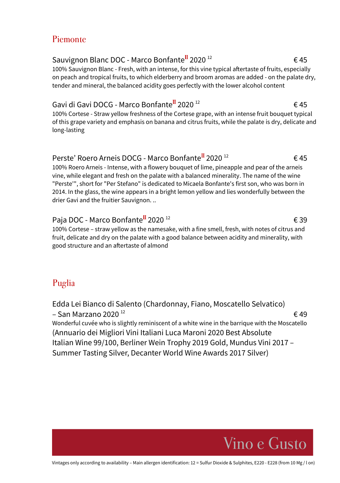### Piemonte

# Sauvignon Blanc DOC - Marco Bonfante<sup>II</sup> 2020<sup>12</sup> 645

100% Sauvignon Blanc - Fresh, with an intense, for this vine typical aftertaste of fruits, especially on peach and tropical fruits, to which elderberry and broom aromas are added - on the palate dry, tender and mineral, the balanced acidity goes perfectly with the lower alcohol content

### Gavi di Gavi DOCG - Marco Bonfante<sup>II</sup> 2020<sup>12</sup> e 45

100% Cortese - Straw yellow freshness of the Cortese grape, with an intense fruit bouquet typical of this grape variety and emphasis on banana and citrus fruits, while the palate is dry, delicate and long-lasting

## Perste' Roero Arneis DOCG - Marco Bonfante<sup>II</sup> 2020<sup>12</sup>  $\epsilon$ 45

100% Roero Arneis - Intense, with a flowery bouquet of lime, pineapple and pear of the arneis vine, while elegant and fresh on the palate with a balanced minerality. The name of the wine "Perste'", short for "Per Stefano" is dedicated to Micaela Bonfante's first son, who was born in 2014. In the glass, the wine appears in a bright lemon yellow and lies wonderfully between the drier Gavi and the fruitier Sauvignon. ..

## Paja DOC - Marco Bonfante<sup>II</sup> 2020<sup>12</sup>  $\epsilon$  39

100% Cortese – straw yellow as the namesake, with a fine smell, fresh, with notes of citrus and fruit, delicate and dry on the palate with a good balance between acidity and minerality, with good structure and an aftertaste of almond

# Puglia

Edda Lei Bianco di Salento (Chardonnay, Fiano, Moscatello Selvatico) – San Marzano 2020  $^{12}$  example 20  $\neq 49$ Wonderful cuvée who is slightly reminiscent of a white wine in the barrique with the Moscatello (Annuario dei Migliori Vini Italiani Luca Maroni 2020 Best Absolute Italian Wine 99/100, Berliner Wein Trophy 2019 Gold, Mundus Vini 2017 – Summer Tasting Silver, Decanter World Wine Awards 2017 Silver)

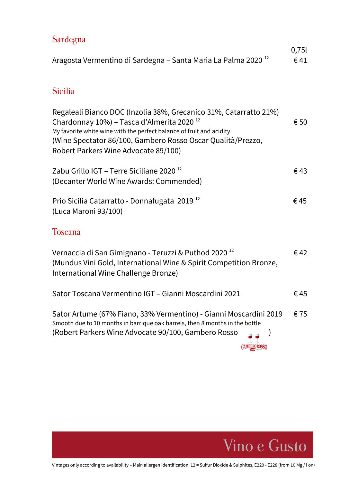| Sardegna                                                                                                                                                                                                                                                                                                  | 0,75          |
|-----------------------------------------------------------------------------------------------------------------------------------------------------------------------------------------------------------------------------------------------------------------------------------------------------------|---------------|
| Aragosta Vermentino di Sardegna - Santa Maria La Palma 2020 <sup>12</sup>                                                                                                                                                                                                                                 | $\epsilon$ 41 |
| <b>Sicilia</b>                                                                                                                                                                                                                                                                                            |               |
| Regaleali Bianco DOC (Inzolia 38%, Grecanico 31%, Catarratto 21%)<br>Chardonnay 10%) - Tasca d'Almerita 2020 <sup>12</sup><br>My favorite white wine with the perfect balance of fruit and acidity<br>(Wine Spectator 86/100, Gambero Rosso Oscar Qualità/Prezzo,<br>Robert Parkers Wine Advocate 89/100) | € 50          |
| Zabu Grillo IGT – Terre Siciliane 2020 <sup>12</sup><br>(Decanter World Wine Awards: Commended)                                                                                                                                                                                                           | €43           |
| Prio Sicilia Catarratto - Donnafugata 2019 <sup>12</sup><br>(Luca Maroni 93/100)                                                                                                                                                                                                                          | €45           |
| <b>Toscana</b>                                                                                                                                                                                                                                                                                            |               |
| Vernaccia di San Gimignano - Teruzzi & Puthod 2020 <sup>12</sup><br>(Mundus Vini Gold, International Wine & Spirit Competition Bronze,<br>International Wine Challenge Bronze)                                                                                                                            | $\epsilon$ 42 |
| Sator Toscana Vermentino IGT - Gianni Moscardini 2021                                                                                                                                                                                                                                                     | €45           |
| Sator Artume (67% Fiano, 33% Vermentino) - Gianni Moscardini 2019<br>Smooth due to 10 months in barrique oak barrels, then 8 months in the bottle<br>(Robert Parkers Wine Advocate 90/100, Gambero Rosso                                                                                                  | €75           |

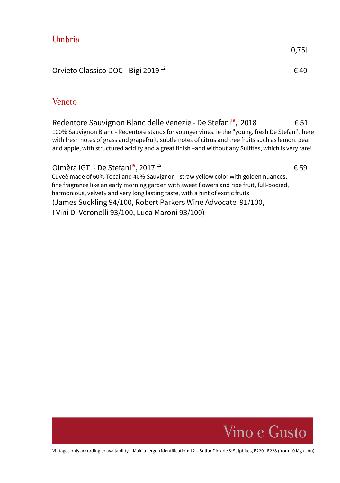| Umbria                                         |       |
|------------------------------------------------|-------|
|                                                | 0,75l |
| Orvieto Classico DOC - Bigi 2019 <sup>12</sup> | €40   |
|                                                |       |

#### Veneto

Redentore Sauvignon Blanc delle Venezie - De Stefani<sup>IV</sup>, 2018 € 51 100% Sauvignon Blanc - Redentore stands for younger vines, ie the "young, fresh De Stefani", here with fresh notes of grass and grapefruit, subtle notes of citrus and tree fruits such as lemon, pear and apple, with structured acidity and a great finish –and without any Sulfites, which is very rare!

#### Olmèra IGT - De Stefani<sup>IV</sup>, 2017<sup>12</sup>

 $\epsilon$  59 Cuveè made of 60% Tocai and 40% Sauvignon - straw yellow color with golden nuances, fine fragrance like an early morning garden with sweet flowers and ripe fruit, full-bodied, harmonious, velvety and very long lasting taste, with a hint of exotic fruits (James Suckling 94/100, Robert Parkers Wine Advocate 91/100, I Vini Di Veronelli 93/100, Luca Maroni 93/100)

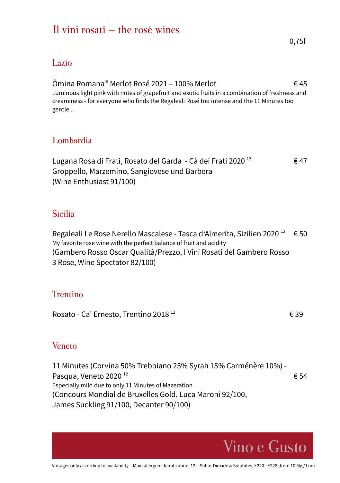# Il vini rosati – the rosé wines

#### Lazio

Ômina Romana<sup>III</sup> Merlot Rosé 2021 – 100% Merlot  $6.45$ Luminous light pink with notes of grapefruit and exotic fruits in a combination of freshness and creaminess - for everyone who finds the Regaleali Rosé too intense and the 11 Minutes too gentle...

## Lombardia

Lugana Rosa di Frati, Rosato del Garda - Cà dei Frati 2020<sup>12</sup>  $\epsilon$  47 Groppello, Marzemino, Sangiovese und Barbera (Wine Enthusiast 91/100)

### Sicilia

Regaleali Le Rose Nerello Mascalese - Tasca d'Almerita, Sizilien 2020<sup>12</sup>  $\epsilon$  50 My favorite rose wine with the perfect balance of fruit and acidity (Gambero Rosso Oscar Qualità/Prezzo, I Vini Rosati del Gambero Rosso 3 Rose, Wine Spectator 82/100)

## **Trentino**

Rosato - Ca' Ernesto, Trentino 2018<sup>12</sup>  $\epsilon$  39

#### Veneto

11 Minutes (Corvina 50% Trebbiano 25% Syrah 15% Carménère 10%) - Pasqua, Veneto 2020<sup>12</sup>  $654$ Especially mild due to only 11 Minutes of Mazeration (Concours Mondial de Bruxelles Gold, Luca Maroni 92/100, James Suckling 91/100, Decanter 90/100)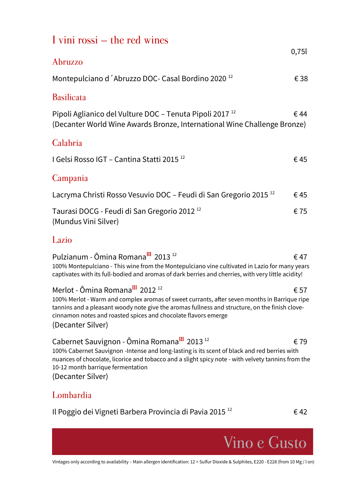| I vini rossi – the red wines                                                                                                                                                                                                                                      |               |
|-------------------------------------------------------------------------------------------------------------------------------------------------------------------------------------------------------------------------------------------------------------------|---------------|
| Abruzzo                                                                                                                                                                                                                                                           | 0,751         |
| Montepulciano d'Abruzzo DOC- Casal Bordino 2020 <sup>12</sup>                                                                                                                                                                                                     | €38           |
| <b>Basilicata</b>                                                                                                                                                                                                                                                 |               |
| Pipoli Aglianico del Vulture DOC - Tenuta Pipoli 2017 <sup>12</sup><br>(Decanter World Wine Awards Bronze, International Wine Challenge Bronze)                                                                                                                   | €44           |
| Calabria                                                                                                                                                                                                                                                          |               |
| I Gelsi Rosso IGT – Cantina Statti 2015 <sup>12</sup>                                                                                                                                                                                                             | €45           |
| Campania                                                                                                                                                                                                                                                          |               |
| Lacryma Christi Rosso Vesuvio DOC - Feudi di San Gregorio 2015 <sup>12</sup>                                                                                                                                                                                      | €45           |
| Taurasi DOCG - Feudi di San Gregorio 2012 <sup>12</sup><br>(Mundus Vini Silver)                                                                                                                                                                                   | €75           |
| Lazio                                                                                                                                                                                                                                                             |               |
| Pulzianum - Ômina Romana <sup>III</sup> 2013 <sup>12</sup><br>100% Montepulciano - This wine from the Montepulciano vine cultivated in Lazio for many years<br>captivates with its full-bodied and aromas of dark berries and cherries, with very little acidity! | €47           |
| Merlot - Ômina Romana <sup>III</sup> 2012 <sup>12</sup><br>100% Merlot - Warm and complex aromas of sweet currants, after seven months in Barrique ripe<br>tannins and a pleasant woody note give the aromas fullness and structure, on the finish clove-         | $\epsilon$ 57 |

cinnamon notes and roasted spices and chocolate flavors emerge (Decanter Silver)

# Cabernet Sauvignon - Ômina Romana $^{III}$  2013<sup>12</sup> 679

100% Cabernet Sauvignon -Intense and long-lasting is its scent of black and red berries with nuances of chocolate, licorice and tobacco and a slight spicy note - with velvety tannins from the 10-12 month barrique fermentation

(Decanter Silver)

#### Lombardia

Il Poggio dei Vigneti Barbera Provincia di Pavia 2015 <sup>12</sup>

 $\epsilon$ 42

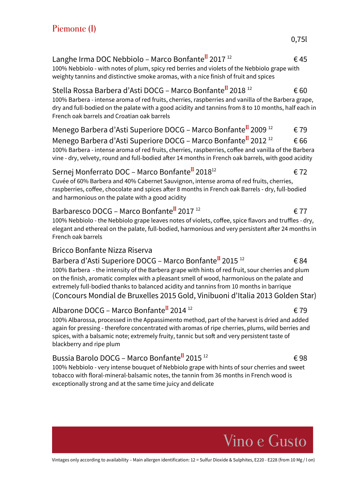#### Langhe Irma DOC Nebbiolo – Marco Bonfante<sup>II</sup> 2017<sup>12</sup>  $\epsilon$  45 100% Nebbiolo - with notes of plum, spicy red berries and violets of the Nebbiolo grape with

Stella Rossa Barbera d'Asti DOCG – Marco Bonfante<sup>II</sup> 2018<sup>12</sup>  $\epsilon$  60

weighty tannins and distinctive smoke aromas, with a nice finish of fruit and spices

100% Barbera - intense aroma of red fruits, cherries, raspberries and vanilla of the Barbera grape, dry and full-bodied on the palate with a good acidity and tannins from 8 to 10 months, half each in French oak barrels and Croatian oak barrels

Menego Barbera d'Asti Superiore DOCG – Marco Bonfante<sup>II</sup> 2009<sup>12</sup>  $\epsilon$  79 Menego Barbera d'Asti Superiore DOCG – Marco Bonfante<sup>II</sup> 2012<sup>12</sup>  $\epsilon$  66 100% Barbera - intense aroma of red fruits, cherries, raspberries, coffee and vanilla of the Barbera vine - dry, velvety, round and full-bodied after 14 months in French oak barrels, with good acidity

#### Sernej Monferrato DOC – Marco Bonfante $^{II}$  2018<sup>12</sup>  $\epsilon$  72

Cuvée of 60% Barbera and 40% Cabernet Sauvignon, intense aroma of red fruits, cherries, raspberries, coffee, chocolate and spices after 8 months in French oak Barrels - dry, full-bodied and harmonious on the palate with a good acidity

#### Barbaresco DOCG – Marco Bonfante<sup>II</sup> 2017<sup>12</sup>  $\epsilon$  77 100% Nebbiolo - the Nebbiolo grape leaves notes of violets, coffee, spice flavors and truffles - dry, elegant and ethereal on the palate, full-bodied, harmonious and very persistent after 24 months in French oak barrels

#### Bricco Bonfante Nizza Riserva

Barbera d'Asti Superiore DOCG – Marco Bonfante<sup>II</sup> 2015<sup>12</sup>  $\epsilon$  84 100% Barbera - the intensity of the Barbera grape with hints of red fruit, sour cherries and plum on the finish, aromatic complex with a pleasant smell of wood, harmonious on the palate and extremely full-bodied thanks to balanced acidity and tannins from 10 months in barrique (Concours Mondial de Bruxelles 2015 Gold, Vinibuoni d'Italia 2013 Golden Star)

## Albarone DOCG – Marco Bonfante<sup>II</sup> 2014<sup>12</sup>  $\epsilon$  79

100% Albarossa, processed in the Appassimento method, part of the harvest is dried and added again for pressing - therefore concentrated with aromas of ripe cherries, plums, wild berries and spices, with a balsamic note; extremely fruity, tannic but soft and very persistent taste of blackberry and ripe plum

# Bussia Barolo DOCG – Marco Bonfante<sup>II</sup> 2015<sup>12</sup>  $\epsilon$ 98

100% Nebbiolo - very intense bouquet of Nebbiolo grape with hints of sour cherries and sweet tobacco with floral-mineral-balsamic notes, the tannin from 36 months in French wood is exceptionally strong and at the same time juicy and delicate



Vino e Gusto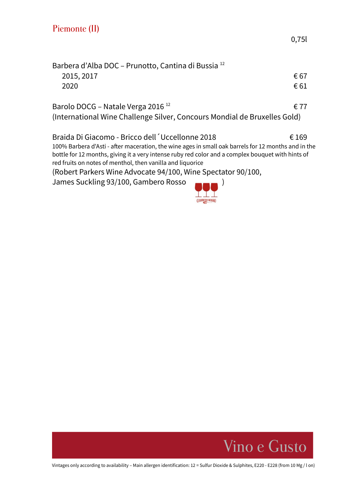| Barbera d'Alba DOC – Prunotto, Cantina di Bussia <sup>12</sup>                                                                                                                                                                                                         |       |
|------------------------------------------------------------------------------------------------------------------------------------------------------------------------------------------------------------------------------------------------------------------------|-------|
| 2015, 2017                                                                                                                                                                                                                                                             | € 67  |
| 2020                                                                                                                                                                                                                                                                   | € 61  |
| Barolo DOCG - Natale Verga 2016 <sup>12</sup>                                                                                                                                                                                                                          | € 77  |
| (International Wine Challenge Silver, Concours Mondial de Bruxelles Gold)                                                                                                                                                                                              |       |
| Braida Di Giacomo - Bricco dell ´Uccellonne 2018                                                                                                                                                                                                                       | € 169 |
| 100% Barbera d'Asti - after maceration, the wine ages in small oak barrels for 12 months and in the<br>bottle for 12 months, giving it a very intense ruby red color and a complex bouquet with hints of<br>red fruits on notes of menthol, then vanilla and liquorice |       |
| (Robert Parkers Wine Advocate 94/100, Wine Spectator 90/100,                                                                                                                                                                                                           |       |
| James Suckling 93/100, Gambero Rosso                                                                                                                                                                                                                                   |       |



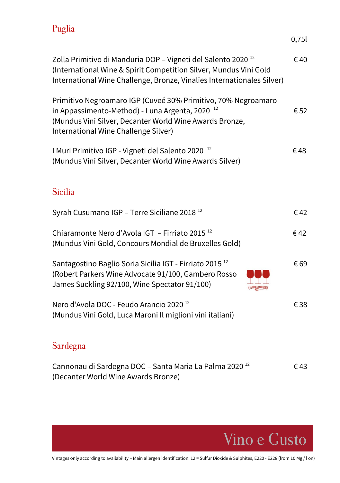# Puglia

|                                                                                                                                                                                                                         | 0,75 |
|-------------------------------------------------------------------------------------------------------------------------------------------------------------------------------------------------------------------------|------|
| Zolla Primitivo di Manduria DOP - Vigneti del Salento 2020 <sup>12</sup><br>(International Wine & Spirit Competition Silver, Mundus Vini Gold<br>International Wine Challenge, Bronze, Vinalies Internationales Silver) | €40  |
| Primitivo Negroamaro IGP (Cuveé 30% Primitivo, 70% Negroamaro<br>in Appassimento-Method) - Luna Argenta, 2020<br>(Mundus Vini Silver, Decanter World Wine Awards Bronze,<br>International Wine Challenge Silver)        | € 52 |
| I Muri Primitivo IGP - Vigneti del Salento 2020 <sup>12</sup><br>(Mundus Vini Silver, Decanter World Wine Awards Silver)                                                                                                | €48  |
| <b>Sicilia</b>                                                                                                                                                                                                          |      |
| Syrah Cusumano IGP - Terre Siciliane 2018 <sup>12</sup>                                                                                                                                                                 | €42  |
| Chiaramonte Nero d'Avola IGT - Firriato 2015 <sup>12</sup><br>(Mundus Vini Gold, Concours Mondial de Bruxelles Gold)                                                                                                    | €42  |
| Santagostino Baglio Soria Sicilia IGT - Firriato 2015 <sup>12</sup><br>(Robert Parkers Wine Advocate 91/100, Gambero Rosso<br>James Suckling 92/100, Wine Spectator 91/100)                                             | € 69 |
| Nero d'Avola DOC - Feudo Arancio 2020 <sup>12</sup><br>(Mundus Vini Gold, Luca Maroni Il miglioni vini italiani)                                                                                                        | € 38 |
| $\Omega = 1$                                                                                                                                                                                                            |      |

#### Sardegna

| Cannonau di Sardegna DOC – Santa Maria La Palma 2020 <sup>12</sup> | €43 |
|--------------------------------------------------------------------|-----|
| (Decanter World Wine Awards Bronze)                                |     |

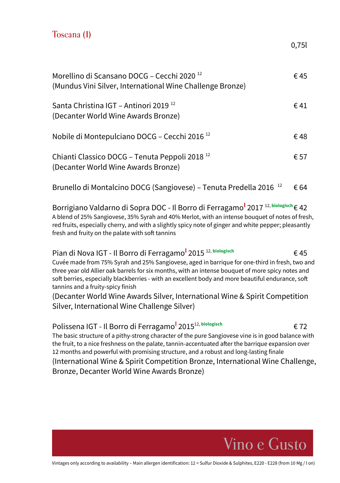### Toscana (1)

0,75l

| Morellino di Scansano DOCG – Cecchi 2020 <sup>12</sup><br>(Mundus Vini Silver, International Wine Challenge Bronze) | € 45 |
|---------------------------------------------------------------------------------------------------------------------|------|
| Santa Christina IGT - Antinori 2019 <sup>12</sup><br>(Decanter World Wine Awards Bronze)                            | € 41 |
| Nobile di Montepulciano DOCG - Cecchi 2016 <sup>12</sup>                                                            | €48  |
| Chianti Classico DOCG - Tenuta Peppoli 2018 <sup>12</sup><br>(Decanter World Wine Awards Bronze)                    | € 57 |
| Brunello di Montalcino DOCG (Sangiovese) – Tenuta Predella 2016 <sup>12</sup>                                       | € 64 |

Borrigiano Valdarno di Sopra DOC - Il Borro di Ferragamo<sup>1</sup> 2017<sup>12, biologisch</sup>€ 42 A blend of 25% Sangiovese, 35% Syrah and 40% Merlot, with an intense bouquet of notes of fresh, red fruits, especially cherry, and with a slightly spicy note of ginger and white pepper; pleasantly fresh and fruity on the palate with soft tannins

Pian di Nova IGT - Il Borro di Ferragamo<sup>1</sup> 2015<sup>12, biologisch</sup> € 45 Cuvée made from 75% Syrah and 25% Sangiovese, aged in barrique for one-third in fresh, two and three year old Allier oak barrels for six months, with an intense bouquet of more spicy notes and soft berries, especially blackberries - with an excellent body and more beautiful endurance, soft tannins and a fruity-spicy finish

(Decanter World Wine Awards Silver, International Wine & Spirit Competition Silver, International Wine Challenge Silver)

Polissena IGT - Il Borro di Ferragamo<sup>l</sup> 2015<sup>12, biologisch</sup> <del>€</del> 72 The basic structure of a pithy-strong character of the pure Sangiovese vine is in good balance with the fruit, to a nice freshness on the palate, tannin-accentuated after the barrique expansion over 12 months and powerful with promising structure, and a robust and long-lasting finale (International Wine & Spirit Competition Bronze, International Wine Challenge, Bronze, Decanter World Wine Awards Bronze)

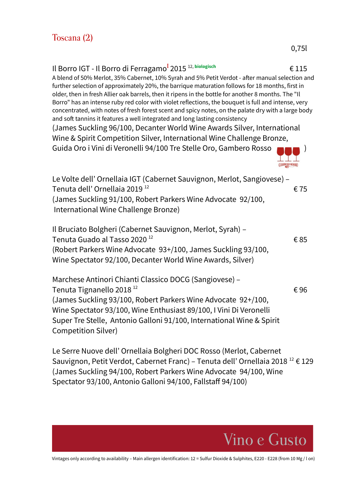| Il Borro IGT - Il Borro di Ferragamo <sup>I</sup> 2015 <sup>12, biologisch</sup><br>A blend of 50% Merlot, 35% Cabernet, 10% Syrah and 5% Petit Verdot - after manual selection and<br>further selection of approximately 20%, the barrique maturation follows for 18 months, first in<br>older, then in fresh Allier oak barrels, then it ripens in the bottle for another 8 months. The "Il<br>Borro" has an intense ruby red color with violet reflections, the bouquet is full and intense, very<br>concentrated, with notes of fresh forest scent and spicy notes, on the palate dry with a large body<br>and soft tannins it features a well integrated and long lasting consistency<br>(James Suckling 96/100, Decanter World Wine Awards Silver, International<br>Wine & Spirit Competition Silver, International Wine Challenge Bronze,<br>Guida Oro i Vini di Veronelli 94/100 Tre Stelle Oro, Gambero Rosso | €115 |
|------------------------------------------------------------------------------------------------------------------------------------------------------------------------------------------------------------------------------------------------------------------------------------------------------------------------------------------------------------------------------------------------------------------------------------------------------------------------------------------------------------------------------------------------------------------------------------------------------------------------------------------------------------------------------------------------------------------------------------------------------------------------------------------------------------------------------------------------------------------------------------------------------------------------|------|
| Le Volte dell' Ornellaia IGT (Cabernet Sauvignon, Merlot, Sangiovese) -<br>Tenuta dell' Ornellaia 2019 <sup>12</sup><br>(James Suckling 91/100, Robert Parkers Wine Advocate 92/100,<br>International Wine Challenge Bronze)                                                                                                                                                                                                                                                                                                                                                                                                                                                                                                                                                                                                                                                                                           | €75  |
| Il Bruciato Bolgheri (Cabernet Sauvignon, Merlot, Syrah) -<br>Tenuta Guado al Tasso 2020 <sup>12</sup><br>(Robert Parkers Wine Advocate 93+/100, James Suckling 93/100,<br>Wine Spectator 92/100, Decanter World Wine Awards, Silver)                                                                                                                                                                                                                                                                                                                                                                                                                                                                                                                                                                                                                                                                                  | €85  |
| Marchese Antinori Chianti Classico DOCG (Sangiovese) -<br>Tenuta Tignanello 2018 <sup>12</sup><br>(James Suckling 93/100, Robert Parkers Wine Advocate 92+/100,<br>Wine Spectator 93/100, Wine Enthusiast 89/100, I Vini Di Veronelli<br>Super Tre Stelle, Antonio Galloni 91/100, International Wine & Spirit<br>Competition Silver)                                                                                                                                                                                                                                                                                                                                                                                                                                                                                                                                                                                  | €96  |

Le Serre Nuove dell' Ornellaia Bolgheri DOC Rosso (Merlot, Cabernet Sauvignon, Petit Verdot, Cabernet Franc) – Tenuta dell' Ornellaia 2018 <sup>12</sup>€ 129 (James Suckling 94/100, Robert Parkers Wine Advocate 94/100, Wine Spectator 93/100, Antonio Galloni 94/100, Fallstaff 94/100)

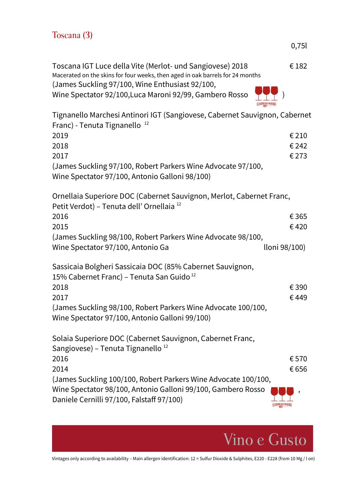| Toscana (3) |  |  |
|-------------|--|--|
|-------------|--|--|

| Toscana IGT Luce della Vite (Merlot- und Sangiovese) 2018                     |                           | € 182 |
|-------------------------------------------------------------------------------|---------------------------|-------|
| Macerated on the skins for four weeks, then aged in oak barrels for 24 months |                           |       |
| (James Suckling 97/100, Wine Enthusiast 92/100,                               |                           |       |
| Wine Spectator 92/100, Luca Maroni 92/99, Gambero Rosso                       | $\bullet \bullet \bullet$ |       |
|                                                                               |                           |       |

| Tignanello Marchesi Antinori IGT (Sangiovese, Cabernet Sauvignon, Cabernet                                                   |                      |
|------------------------------------------------------------------------------------------------------------------------------|----------------------|
| Franc) - Tenuta Tignanello <sup>12</sup>                                                                                     |                      |
| 2019                                                                                                                         | € 210                |
| 2018                                                                                                                         | € 242                |
| 2017                                                                                                                         | €273                 |
| (James Suckling 97/100, Robert Parkers Wine Advocate 97/100,<br>Wine Spectator 97/100, Antonio Galloni 98/100)               |                      |
| Ornellaia Superiore DOC (Cabernet Sauvignon, Merlot, Cabernet Franc,<br>Petit Verdot) - Tenuta dell' Ornellaia <sup>12</sup> |                      |
| 2016                                                                                                                         | € 365                |
| 2015                                                                                                                         | €420                 |
| (James Suckling 98/100, Robert Parkers Wine Advocate 98/100,                                                                 |                      |
| Wine Spectator 97/100, Antonio Ga                                                                                            | lloni 98/100)        |
| Sassicaia Bolgheri Sassicaia DOC (85% Cabernet Sauvignon,<br>15% Cabernet Franc) - Tenuta San Guido <sup>12</sup>            |                      |
| 2018                                                                                                                         | € 390                |
| 2017                                                                                                                         | €449                 |
| (James Suckling 98/100, Robert Parkers Wine Advocate 100/100,<br>Wine Spectator 97/100, Antonio Galloni 99/100)              |                      |
| Solaia Superiore DOC (Cabernet Sauvignon, Cabernet Franc,<br>Sangiovese) - Tenuta Tignanello <sup>12</sup>                   |                      |
| 2016                                                                                                                         | €570                 |
| 2014                                                                                                                         | € 656                |
| (James Suckling 100/100, Robert Parkers Wine Advocate 100/100,                                                               |                      |
| Wine Spectator 98/100, Antonio Galloni 99/100, Gambero Rosso<br>Daniele Cernilli 97/100, Falstaff 97/100)                    | <b>GAMBERO ROSSO</b> |



0,75l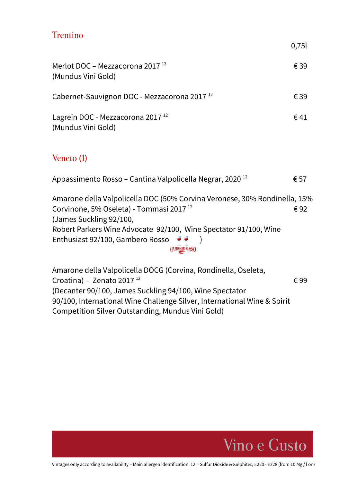## Trentino

0,75l

| € 39                                                                             |
|----------------------------------------------------------------------------------|
| € 39                                                                             |
| €41                                                                              |
|                                                                                  |
| € 57                                                                             |
| Amarone della Valpolicella DOC (50% Corvina Veronese, 30% Rondinella, 15%<br>€92 |
|                                                                                  |

Robert Parkers Wine Advocate 92/100, Wine Spectator 91/100, Wine Enthusiast 92/100, Gambero Rosso  $\rightarrow$  ) **GAMBERO ROSSO** 

Amarone della Valpolicella DOCG (Corvina, Rondinella, Oseleta, Croatina) – Zenato 2017<sup>12</sup>  $\epsilon$  99 (Decanter 90/100, James Suckling 94/100, Wine Spectator 90/100, International Wine Challenge Silver, International Wine & Spirit Competition Silver Outstanding, Mundus Vini Gold)

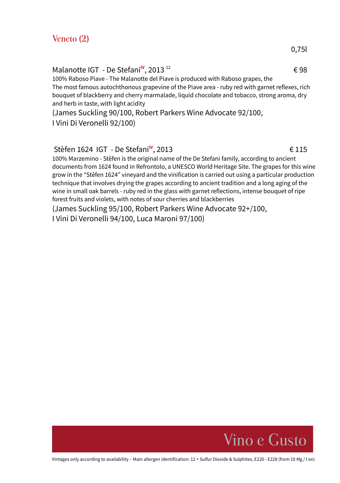Malanotte IGT - De Stefani<sup>IV</sup>, 2013<sup>12</sup>

100% Raboso Piave - The Malanotte del Piave is produced with Raboso grapes, the The most famous autochthonous grapevine of the Piave area - ruby red with garnet reflexes, rich bouquet of blackberry and cherry marmalade, liquid chocolate and tobacco, strong aroma, dry and herb in taste, with light acidity

 $\epsilon$  98

(James Suckling 90/100, Robert Parkers Wine Advocate 92/100, I Vini Di Veronelli 92/100)

#### Stèfen 1624 IGT - De Stefani<sup>IV</sup>, 2013 <del>€ 115</del>

100% Marzemino - Stèfen is the original name of the De Stefani family, according to ancient documents from 1624 found in Refrontolo, a UNESCO World Heritage Site. The grapes for this wine grow in the "Stèfen 1624" vineyard and the vinification is carried out using a particular production technique that involves drying the grapes according to ancient tradition and a long aging of the wine in small oak barrels - ruby red in the glass with garnet reflections, intense bouquet of ripe forest fruits and violets, with notes of sour cherries and blackberries

(James Suckling 95/100, Robert Parkers Wine Advocate 92+/100,

I Vini Di Veronelli 94/100, Luca Maroni 97/100)

Vintages only according to availability – Main allergen identification: 12 = Sulfur Dioxide & Sulphites, E220 - E228 (from 10 Mg / l on)